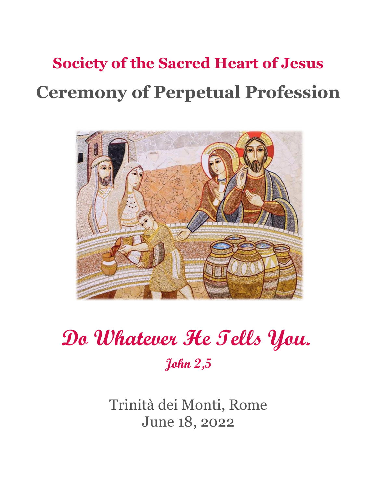# **Society of the Sacred Heart of Jesus Ceremony of Perpetual Profession**



# **Do Whatever He Tells You. John 2,5**

Trinità dei Monti, Rome June 18, 2022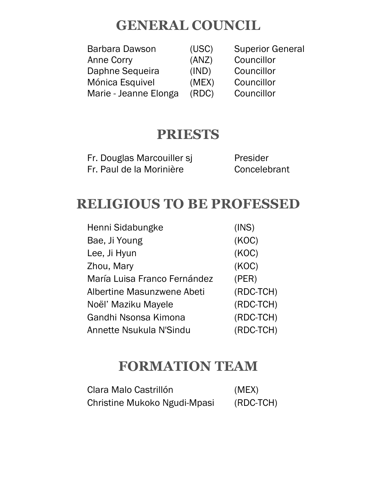# **GENERAL COUNCIL**

| Barbara Dawson        | (USC) | <b>Superior General</b> |
|-----------------------|-------|-------------------------|
| Anne Corry            | (ANZ) | Councillor              |
| Daphne Sequeira       | (IND) | Councillor              |
| Mónica Esquivel       | (MEX) | Councillor              |
| Marie - Jeanne Elonga | (RDC) | Councillor              |

# **PRIESTS**

| Fr. Douglas Marcouiller sj | Presider     |
|----------------------------|--------------|
| Fr. Paul de la Morinière   | Concelebrant |

# **RELIGIOUS TO BE PROFESSED**

| Henni Sidabungke             | (INS)     |
|------------------------------|-----------|
| Bae, Ji Young                | (KOC)     |
| Lee, Ji Hyun                 | (KOC)     |
| Zhou, Mary                   | (KOC)     |
| María Luisa Franco Fernández | (PER)     |
| Albertine Masunzwene Abeti   | (RDC-TCH) |
| Noël' Maziku Mayele          | (RDC-TCH) |
| Gandhi Nsonsa Kimona         | (RDC-TCH) |
| Annette Nsukula N'Sindu      | (RDC-TCH) |

# **FORMATION TEAM**

| Clara Malo Castrillón        | (MEX)     |
|------------------------------|-----------|
| Christine Mukoko Ngudi-Mpasi | (RDC-TCH) |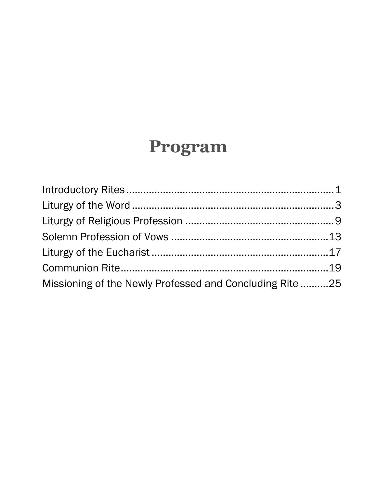# **Program**

| Missioning of the Newly Professed and Concluding Rite 25 |  |
|----------------------------------------------------------|--|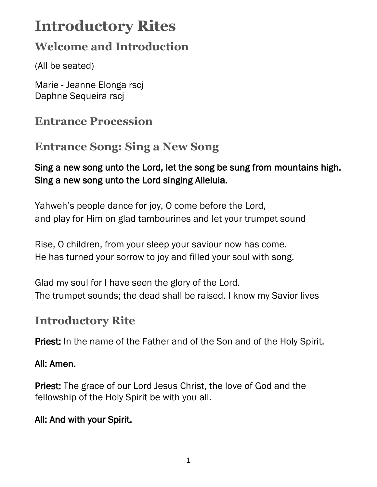# <span id="page-5-0"></span>**Introductory Rites**

# **Welcome and Introduction**

(All be seated)

Marie - Jeanne Elonga rscj Daphne Sequeira rscj

# **Entrance Procession**

# **Entrance Song: Sing a New Song**

### Sing a new song unto the Lord, let the song be sung from mountains high. Sing a new song unto the Lord singing Alleluia.

Yahweh's people dance for joy, O come before the Lord, and play for Him on glad tambourines and let your trumpet sound

Rise, O children, from your sleep your saviour now has come. He has turned your sorrow to joy and filled your soul with song.

Glad my soul for I have seen the glory of the Lord. The trumpet sounds; the dead shall be raised. I know my Savior lives

# **Introductory Rite**

Priest: In the name of the Father and of the Son and of the Holy Spirit.

### All: Amen.

Priest: The grace of our Lord Jesus Christ, the love of God and the fellowship of the Holy Spirit be with you all.

### All: And with your Spirit.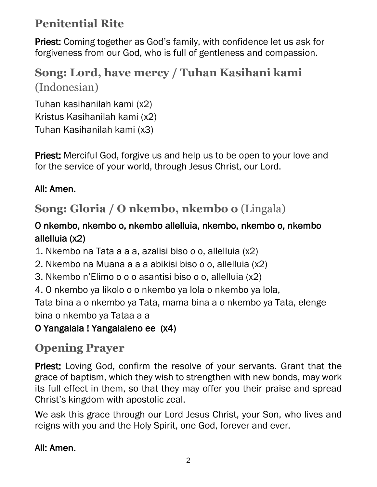# **Penitential Rite**

Priest: Coming together as God's family, with confidence let us ask for forgiveness from our God, who is full of gentleness and compassion.

# **Song: Lord, have mercy / Tuhan Kasihani kami** (Indonesian)

Tuhan kasihanilah kami (x2) Kristus Kasihanilah kami (x2) Tuhan Kasihanilah kami (x3)

Priest: Merciful God, forgive us and help us to be open to your love and for the service of your world, through Jesus Christ, our Lord.

## All: Amen.

# **Song: Gloria / O nkembo, nkembo o** (Lingala)

### O nkembo, nkembo o, nkembo allelluia, nkembo, nkembo o, nkembo allelluia (x2)

1. Nkembo na Tata a a a, azalisi biso o o, allelluia (x2)

2. Nkembo na Muana a a a abikisi biso o o, allelluia (x2)

- 3. Nkembo n'Elimo o o o asantisi biso o o, allelluia (x2)
- 4. O nkembo ya likolo o o nkembo ya lola o nkembo ya lola,

Tata bina a o nkembo ya Tata, mama bina a o nkembo ya Tata, elenge bina o nkembo ya Tataa a a

# O Yangalala ! Yangalaleno ee (x4)

# **Opening Prayer**

Priest: Loving God, confirm the resolve of your servants. Grant that the grace of baptism, which they wish to strengthen with new bonds, may work its full effect in them, so that they may offer you their praise and spread Christ's kingdom with apostolic zeal.

We ask this grace through our Lord Jesus Christ, your Son, who lives and reigns with you and the Holy Spirit, one God, forever and ever.

### All: Amen.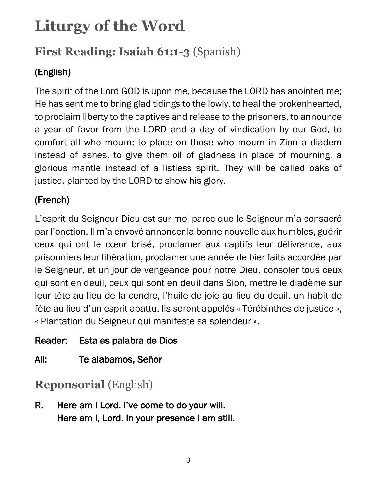# <span id="page-7-0"></span>**Liturgy of the Word**

# **First Reading: Isaiah 61:1-3** (Spanish)

# (English)

The spirit of the Lord GOD is upon me, because the LORD has anointed me; He has sent me to bring glad tidings to the lowly, to heal the brokenhearted, to proclaim liberty to the captives and release to the prisoners, to announce a year of favor from the LORD and a day of vindication by our God, to comfort all who mourn; to place on those who mourn in Zion a diadem instead of ashes, to give them oil of gladness in place of mourning, a glorious mantle instead of a listless spirit. They will be called oaks of justice, planted by the LORD to show his glory.

## (French)

L'esprit du Seigneur Dieu est sur moi parce que le Seigneur m'a consacré par l'onction. Il m'a envoyé annoncer la bonne nouvelle aux humbles, guérir ceux qui ont le cœur brisé, proclamer aux captifs leur délivrance, aux prisonniers leur libération, proclamer une année de bienfaits accordée par le Seigneur, et un jour de vengeance pour notre Dieu, consoler tous ceux qui sont en deuil, ceux qui sont en deuil dans Sion, mettre le diadème sur leur tête au lieu de la cendre, l'huile de joie au lieu du deuil, un habit de fête au lieu d'un esprit abattu. Ils seront appelés « Térébinthes de justice », « Plantation du Seigneur qui manifeste sa splendeur ».

Reader: Esta es palabra de Dios

All: Te alabamos, Señor

**Reponsorial** (English)

R. Here am I Lord. I've come to do your will. Here am I, Lord. In your presence I am still.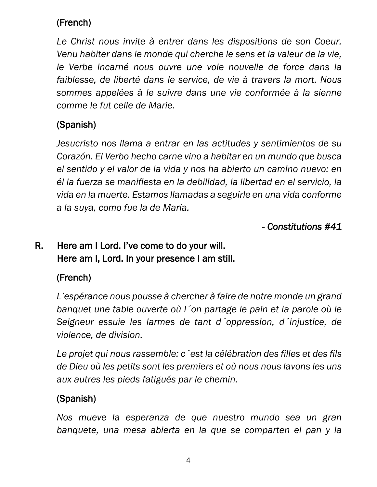## (French)

*Le Christ nous invite à entrer dans les dispositions de son Coeur. Venu habiter dans le monde qui cherche le sens et la valeur de la vie, le Verbe incarné nous ouvre une voie nouvelle de force dans la faiblesse, de liberté dans le service, de vie à travers la mort. Nous sommes appelées à le suivre dans une vie conformée à la sienne comme le fut celle de Marie.*

## (Spanish)

*Jesucristo nos llama a entrar en las actitudes y sentimientos de su Corazón. El Verbo hecho carne vino a habitar en un mundo que busca el sentido y el valor de la vida y nos ha abierto un camino nuevo: en él la fuerza se manifiesta en la debilidad, la libertad en el servicio, la vida en la muerte. Estamos llamadas a seguirle en una vida conforme a la suya, como fue la de Maria.*

*- Constitutions #41* 

## R. Here am I Lord. I've come to do your will. Here am I, Lord. In your presence I am still.

### (French)

*L'espérance nous pousse à chercher à faire de notre monde un grand banquet une table ouverte où l´on partage le pain et la parole où le Seigneur essuie les larmes de tant d´oppression, d´injustice, de violence, de division.*

*Le projet qui nous rassemble: c´est la célébration des filles et des fils de Dieu où les petits sont les premiers et où nous nous lavons les uns aux autres les pieds fatigués par le chemin.*

## (Spanish)

*Nos mueve la esperanza de que nuestro mundo sea un gran banquete, una mesa abierta en la que se comparten el pan y la*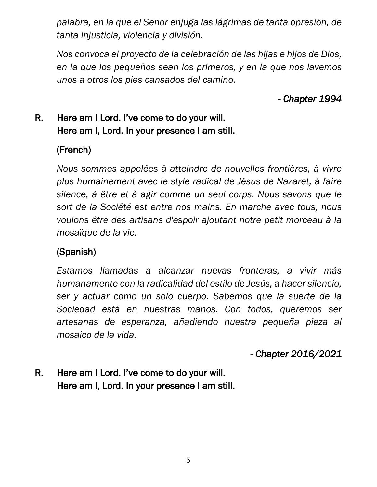*palabra, en la que el Señor enjuga las lágrimas de tanta opresión, de tanta injusticia, violencia y división.*

*Nos convoca el proyecto de la celebración de las hijas e hijos de Dios, en la que los pequeños sean los primeros, y en la que nos lavemos unos a otros los pies cansados del camino.*

*- Chapter 1994* 

### R. Here am I Lord. I've come to do your will. Here am I, Lord. In your presence I am still.

#### (French)

*Nous sommes appelées à atteindre de nouvelles frontières, à vivre plus humainement avec le style radical de Jésus de Nazaret, à faire silence, à être et à agir comme un seul corps. Nous savons que le sort de la Société est entre nos mains. En marche avec tous, nous voulons être des artisans d'espoir ajoutant notre petit morceau à la mosaïque de la vie.*

### (Spanish)

*Estamos llamadas a alcanzar nuevas fronteras, a vivir más humanamente con la radicalidad del estilo de Jesús, a hacer silencio, ser y actuar como un solo cuerpo. Sabemos que la suerte de la Sociedad está en nuestras manos. Con todos, queremos ser artesanas de esperanza, añadiendo nuestra pequeña pieza al mosaico de la vida.*

*- Chapter 2016/2021* 

### R. Here am I Lord. I've come to do your will. Here am I, Lord. In your presence I am still.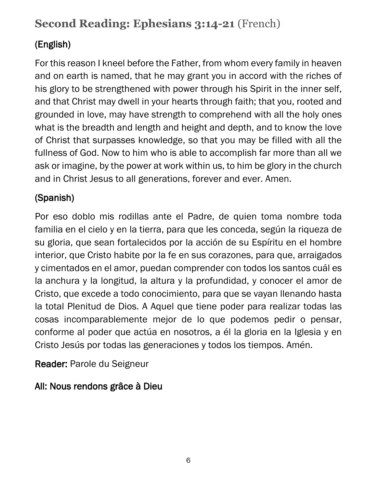# **Second Reading: Ephesians 3:14-21** (French)

## (English)

For this reason I kneel before the Father, from whom every family in heaven and on earth is named, that he may grant you in accord with the riches of his glory to be strengthened with power through his Spirit in the inner self, and that Christ may dwell in your hearts through faith; that you, rooted and grounded in love, may have strength to comprehend with all the holy ones what is the breadth and length and height and depth, and to know the love of Christ that surpasses knowledge, so that you may be filled with all the fullness of God. Now to him who is able to accomplish far more than all we ask or imagine, by the power at work within us, to him be glory in the church and in Christ Jesus to all generations, forever and ever. Amen.

### (Spanish)

Por eso doblo mis rodillas ante el Padre, de quien toma nombre toda familia en el cielo y en la tierra, para que les conceda, según la riqueza de su gloria, que sean fortalecidos por la acción de su Espíritu en el hombre interior, que Cristo habite por la fe en sus corazones, para que, arraigados y cimentados en el amor, puedan comprender con todos los santos cuál es la anchura y la longitud, la altura y la profundidad, y conocer el amor de Cristo, que excede a todo conocimiento, para que se vayan llenando hasta la total Plenitud de Dios. A Aquel que tiene poder para realizar todas las cosas incomparablemente mejor de lo que podemos pedir o pensar, conforme al poder que actúa en nosotros, a él la gloria en la Iglesia y en Cristo Jesús por todas las generaciones y todos los tiempos. Amén.

Reader: Parole du Seigneur

### All: Nous rendons grâce à Dieu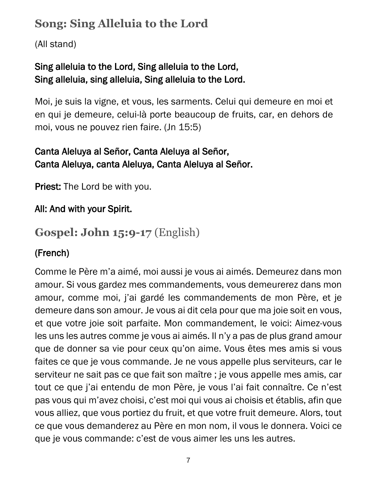# **Song: Sing Alleluia to the Lord**

(All stand)

### Sing alleluia to the Lord, Sing alleluia to the Lord, Sing alleluia, sing alleluia, Sing alleluia to the Lord.

Moi, je suis la vigne, et vous, les sarments. Celui qui demeure en moi et en qui je demeure, celui-là porte beaucoup de fruits, car, en dehors de moi, vous ne pouvez rien faire. (Jn 15:5)

### Canta Aleluya al Señor, Canta Aleluya al Señor, Canta Aleluya, canta Aleluya, Canta Aleluya al Señor.

Priest: The Lord be with you.

### All: And with your Spirit.

# **Gospel: John 15:9-17** (English)

### (French)

Comme le Père m'a aimé, moi aussi je vous ai aimés. Demeurez dans mon amour. Si vous gardez mes commandements, vous demeurerez dans mon amour, comme moi, j'ai gardé les commandements de mon Père, et je demeure dans son amour. Je vous ai dit cela pour que ma joie soit en vous, et que votre joie soit parfaite. Mon commandement, le voici: Aimez-vous les uns les autres comme je vous ai aimés. Il n'y a pas de plus grand amour que de donner sa vie pour ceux qu'on aime. Vous êtes mes amis si vous faites ce que je vous commande. Je ne vous appelle plus serviteurs, car le serviteur ne sait pas ce que fait son maître ; je vous appelle mes amis, car tout ce que j'ai entendu de mon Père, je vous l'ai fait connaître. Ce n'est pas vous qui m'avez choisi, c'est moi qui vous ai choisis et établis, afin que vous alliez, que vous portiez du fruit, et que votre fruit demeure. Alors, tout ce que vous demanderez au Père en mon nom, il vous le donnera. Voici ce que je vous commande: c'est de vous aimer les uns les autres.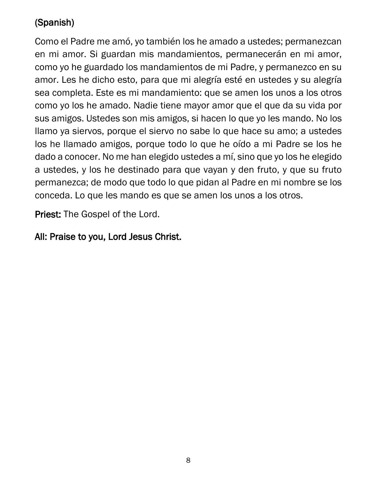## (Spanish)

Como el Padre me amó, yo también los he amado a ustedes; permanezcan en mi amor. Si guardan mis mandamientos, permanecerán en mi amor, como yo he guardado los mandamientos de mi Padre, y permanezco en su amor. Les he dicho esto, para que mi alegría esté en ustedes y su alegría sea completa. Este es mi mandamiento: que se amen los unos a los otros como yo los he amado. Nadie tiene mayor amor que el que da su vida por sus amigos. Ustedes son mis amigos, si hacen lo que yo les mando. No los llamo ya siervos, porque el siervo no sabe lo que hace su amo; a ustedes los he llamado amigos, porque todo lo que he oído a mi Padre se los he dado a conocer. No me han elegido ustedes a mí, sino que yo los he elegido a ustedes, y los he destinado para que vayan y den fruto, y que su fruto permanezca; de modo que todo lo que pidan al Padre en mi nombre se los conceda. Lo que les mando es que se amen los unos a los otros.

Priest: The Gospel of the Lord.

#### All: Praise to you, Lord Jesus Christ.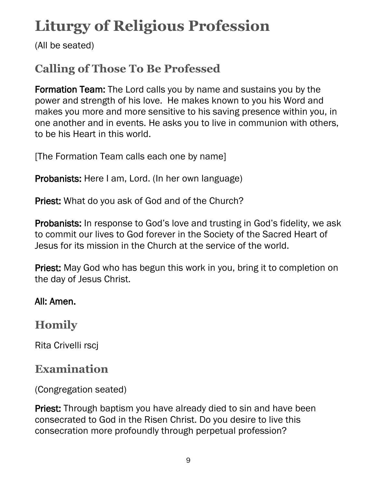# <span id="page-13-0"></span>**Liturgy of Religious Profession**

(All be seated)

# **Calling of Those To Be Professed**

Formation Team: The Lord calls you by name and sustains you by the power and strength of his love. He makes known to you his Word and makes you more and more sensitive to his saving presence within you, in one another and in events. He asks you to live in communion with others, to be his Heart in this world.

[The Formation Team calls each one by name]

Probanists: Here I am, Lord. (In her own language)

Priest: What do you ask of God and of the Church?

Probanists: In response to God's love and trusting in God's fidelity, we ask to commit our lives to God forever in the Society of the Sacred Heart of Jesus for its mission in the Church at the service of the world.

**Priest:** May God who has begun this work in you, bring it to completion on the day of Jesus Christ.

#### All: Amen.

## **Homily**

Rita Crivelli rscj

## **Examination**

(Congregation seated)

**Priest:** Through baptism you have already died to sin and have been consecrated to God in the Risen Christ. Do you desire to live this consecration more profoundly through perpetual profession?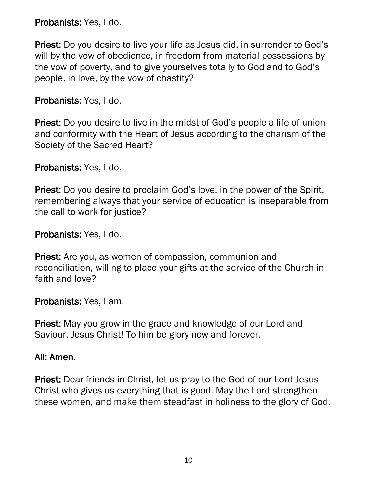Probanists: Yes, I do.

Priest: Do you desire to live your life as Jesus did, in surrender to God's will by the vow of obedience, in freedom from material possessions by the vow of poverty, and to give yourselves totally to God and to God's people, in love, by the vow of chastity?

#### Probanists: Yes, I do.

Priest: Do you desire to live in the midst of God's people a life of union and conformity with the Heart of Jesus according to the charism of the Society of the Sacred Heart?

Probanists: Yes, I do.

**Priest:** Do you desire to proclaim God's love, in the power of the Spirit, remembering always that your service of education is inseparable from the call to work for justice?

Probanists: Yes, I do.

Priest: Are you, as women of compassion, communion and reconciliation, willing to place your gifts at the service of the Church in faith and love?

Probanists: Yes, I am.

Priest: May you grow in the grace and knowledge of our Lord and Saviour, Jesus Christ! To him be glory now and forever.

#### All: Amen.

Priest: Dear friends in Christ, let us pray to the God of our Lord Jesus Christ who gives us everything that is good. May the Lord strengthen these women, and make them steadfast in holiness to the glory of God.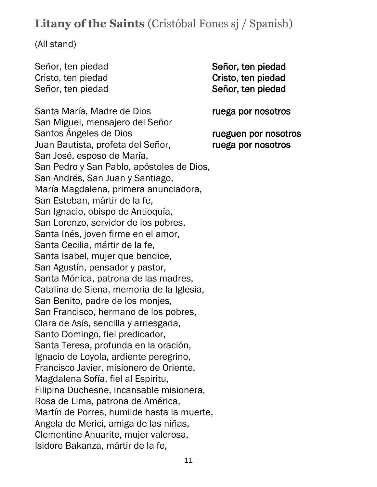# **Litany of the Saints** (Cristóbal Fones sj / Spanish)

(All stand)

Señor, ten piedad Señor, ten piedad Cristo, ten piedad Cristo, ten piedad Señor, ten piedad Señor, ten piedad

Santa María, Madre de Dios ruega por nosotros San Miguel, mensajero del Señor Santos Ángeles de Dios rueguen por nosotros Juan Bautista, profeta del Señor, ruega por nosotros San José, esposo de María, San Pedro y San Pablo, apóstoles de Dios, San Andrés, San Juan y Santiago, María Magdalena, primera anunciadora, San Esteban, mártir de la fe, San Ignacio, obispo de Antioquía, San Lorenzo, servidor de los pobres, Santa Inés, joven firme en el amor, Santa Cecilia, mártir de la fe, Santa Isabel, mujer que bendice, San Agustín, pensador y pastor, Santa Mónica, patrona de las madres, Catalina de Siena, memoria de la Iglesia, San Benito, padre de los monjes, San Francisco, hermano de los pobres, Clara de Asís, sencilla y arriesgada, Santo Domingo, fiel predicador, Santa Teresa, profunda en la oración, Ignacio de Loyola, ardiente peregrino, Francisco Javier, misionero de Oriente, Magdalena Sofía, fiel al Espiritu, Filipina Duchesne, incansable misionera, Rosa de Lima, patrona de América, Martín de Porres, humilde hasta la muerte, Angela de Merici, amiga de las niñas, Clementine Anuarite, mujer valerosa, Isidore Bakanza, mártir de la fe,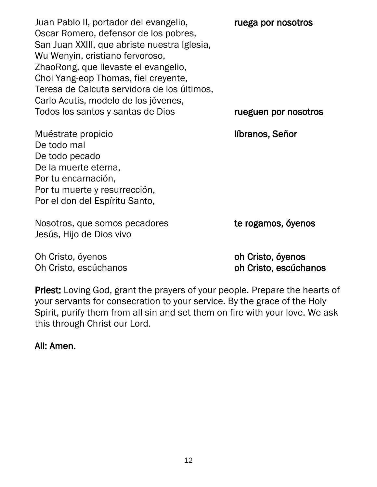Juan Pablo II, portador del evangelio, ruega por nosotros Oscar Romero, defensor de los pobres, San Juan XXIII, que abriste nuestra Iglesia, Wu Wenyin, cristiano fervoroso, ZhaoRong, que llevaste el evangelio, Choi Yang-eop Thomas, fiel creyente, Teresa de Calcuta servidora de los últimos, Carlo Acutis, modelo de los jóvenes, Todos los santos y santas de Dios rueguen por nosotros

Muéstrate propicio **líbranos, Señor** De todo mal De todo pecado De la muerte eterna, Por tu encarnación, Por tu muerte y resurrección, Por el don del Espíritu Santo,

Nosotros, que somos pecadores te rogamos, óyenos Jesús, Hijo de Dios vivo

Oh Cristo, óyenos **oh Cristo**, **óyenos** Oh Cristo, escúchanos oh Cristo, escúchanos

Priest: Loving God, grant the prayers of your people. Prepare the hearts of your servants for consecration to your service. By the grace of the Holy Spirit, purify them from all sin and set them on fire with your love. We ask this through Christ our Lord.

All: Amen.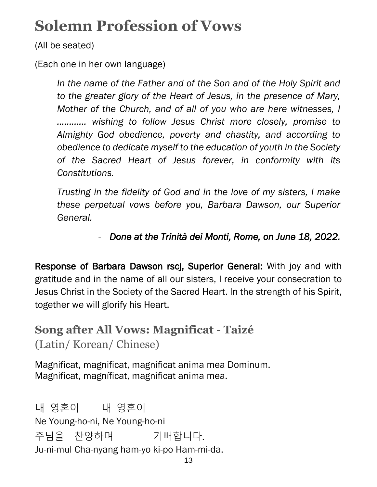# <span id="page-17-0"></span>**Solemn Profession of Vows**

(All be seated)

(Each one in her own language)

*In the name of the Father and of the Son and of the Holy Spirit and to the greater glory of the Heart of Jesus, in the presence of Mary, Mother of the Church, and of all of you who are here witnesses, I ............ wishing to follow Jesus Christ more closely, promise to Almighty God obedience, poverty and chastity, and according to obedience to dedicate myself to the education of youth in the Society of the Sacred Heart of Jesus forever, in conformity with its Constitutions.*

*Trusting in the fidelity of God and in the love of my sisters, I make these perpetual vows before you, Barbara Dawson, our Superior General.*

## - *Done at the Trinità dei Monti, Rome, on June 18, 2022.*

Response of Barbara Dawson rscj, Superior General: With joy and with gratitude and in the name of all our sisters, I receive your consecration to Jesus Christ in the Society of the Sacred Heart. In the strength of his Spirit, together we will glorify his Heart.

**Song after All Vows: Magnificat - Taizé** (Latin/ Korean/ Chinese)

Magnificat, magnificat, magnificat anima mea Dominum. Magnificat, magníficat, magnificat anima mea.

내 영혼이 내 영혼이 Ne Young-ho-ni, Ne Young-ho-ni 주님을 찬양하며 기뻐합니다. Ju-ni-mul Cha-nyang ham-yo ki-po Ham-mi-da.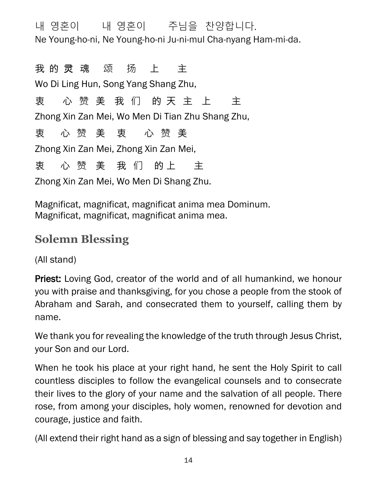내 영혼이 내 영혼이 주님을 찬양합니다. Ne Young-ho-ni, Ne Young-ho-ni Ju-ni-mul Cha-nyang Ham-mi-da.

我 的 灵 魂 颂 扬 上 主 Wo Di Ling Hun, Song Yang Shang Zhu, 衷 心 赞 美 我 们 的 天 主 上 主 Zhong Xin Zan Mei, Wo Men Di Tian Zhu Shang Zhu, 衷 心 赞 美 衷 心 赞 美 Zhong Xin Zan Mei, Zhong Xin Zan Mei, 夷 心 赞 美 我 们 的 上 主 Zhong Xin Zan Mei, Wo Men Di Shang Zhu.

Magnificat, magnificat, magnificat anima mea Dominum. Magnificat, magnificat, magnificat anima mea.

# **Solemn Blessing**

(All stand)

Priest: Loving God, creator of the world and of all humankind, we honour you with praise and thanksgiving, for you chose a people from the stook of Abraham and Sarah, and consecrated them to yourself, calling them by name.

We thank you for revealing the knowledge of the truth through Jesus Christ, your Son and our Lord.

When he took his place at your right hand, he sent the Holy Spirit to call countless disciples to follow the evangelical counsels and to consecrate their lives to the glory of your name and the salvation of all people. There rose, from among your disciples, holy women, renowned for devotion and courage, justice and faith.

(All extend their right hand as a sign of blessing and say together in English)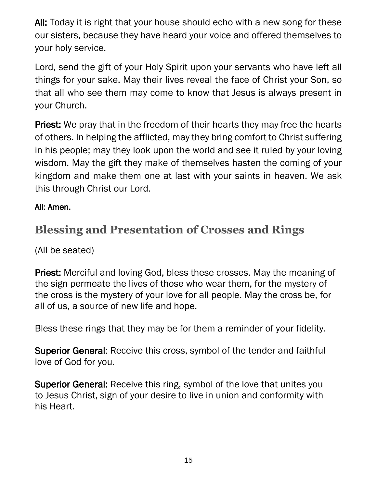All: Today it is right that your house should echo with a new song for these our sisters, because they have heard your voice and offered themselves to your holy service.

Lord, send the gift of your Holy Spirit upon your servants who have left all things for your sake. May their lives reveal the face of Christ your Son, so that all who see them may come to know that Jesus is always present in your Church.

**Priest:** We pray that in the freedom of their hearts they may free the hearts of others. In helping the afflicted, may they bring comfort to Christ suffering in his people; may they look upon the world and see it ruled by your loving wisdom. May the gift they make of themselves hasten the coming of your kingdom and make them one at last with your saints in heaven. We ask this through Christ our Lord.

#### All: Amen.

# **Blessing and Presentation of Crosses and Rings**

(All be seated)

Priest: Merciful and loving God, bless these crosses. May the meaning of the sign permeate the lives of those who wear them, for the mystery of the cross is the mystery of your love for all people. May the cross be, for all of us, a source of new life and hope.

Bless these rings that they may be for them a reminder of your fidelity.

Superior General: Receive this cross, symbol of the tender and faithful love of God for you.

Superior General: Receive this ring, symbol of the love that unites you to Jesus Christ, sign of your desire to live in union and conformity with his Heart.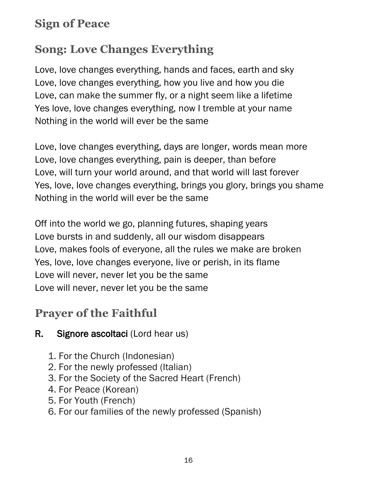# **Sign of Peace**

# **Song: Love Changes Everything**

Love, love changes everything, hands and faces, earth and sky Love, love changes everything, how you live and how you die Love, can make the summer fly, or a night seem like a lifetime Yes love, love changes everything, now I tremble at your name Nothing in the world will ever be the same

Love, love changes everything, days are longer, words mean more Love, love changes everything, pain is deeper, than before Love, will turn your world around, and that world will last forever Yes, love, love changes everything, brings you glory, brings you shame Nothing in the world will ever be the same

Off into the world we go, planning futures, shaping years Love bursts in and suddenly, all our wisdom disappears Love, makes fools of everyone, all the rules we make are broken Yes, love, love changes everyone, live or perish, in its flame Love will never, never let you be the same Love will never, never let you be the same

# **Prayer of the Faithful**

### R. Signore ascoltaci (Lord hear us)

- 1. For the Church (Indonesian)
- 2. For the newly professed (Italian)
- 3. For the Society of the Sacred Heart (French)
- 4. For Peace (Korean)
- 5. For Youth (French)
- 6. For our families of the newly professed (Spanish)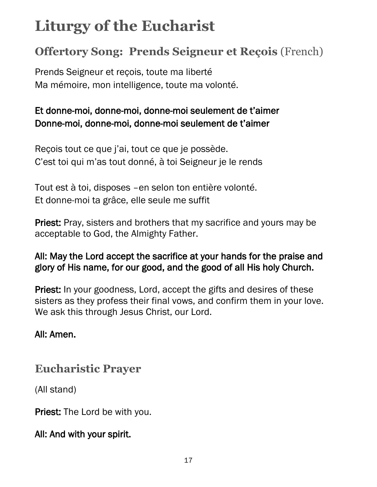# <span id="page-21-0"></span>**Liturgy of the Eucharist**

# **Offertory Song: Prends Seigneur et Reçois** (French)

Prends Seigneur et reçois, toute ma liberté Ma mémoire, mon intelligence, toute ma volonté.

### Et donne-moi, donne-moi, donne-moi seulement de t'aimer Donne-moi, donne-moi, donne-moi seulement de t'aimer

Reçois tout ce que j'ai, tout ce que je possède. C'est toi qui m'as tout donné, à toi Seigneur je le rends

Tout est à toi, disposes –en selon ton entière volonté. Et donne-moi ta grâce, elle seule me suffit

Priest: Pray, sisters and brothers that my sacrifice and yours may be acceptable to God, the Almighty Father.

#### All: May the Lord accept the sacrifice at your hands for the praise and glory of His name, for our good, and the good of all His holy Church.

Priest: In your goodness, Lord, accept the gifts and desires of these sisters as they profess their final vows, and confirm them in your love. We ask this through Jesus Christ, our Lord.

#### All: Amen.

## **Eucharistic Prayer**

(All stand)

Priest: The Lord be with you.

### All: And with your spirit.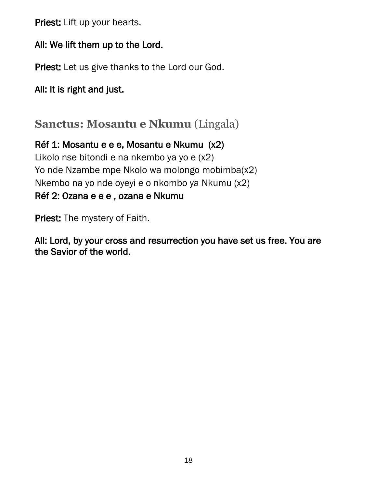Priest: Lift up your hearts.

#### All: We lift them up to the Lord.

Priest: Let us give thanks to the Lord our God.

All: It is right and just.

**Sanctus: Mosantu e Nkumu** (Lingala)

Réf 1: Mosantu e e e, Mosantu e Nkumu (x2) Likolo nse bitondi e na nkembo ya yo e (x2) Yo nde Nzambe mpe Nkolo wa molongo mobimba(x2) Nkembo na yo nde oyeyi e o nkombo ya Nkumu (x2) Réf 2: Ozana e e e , ozana e Nkumu

Priest: The mystery of Faith.

All: Lord, by your cross and resurrection you have set us free. You are the Savior of the world.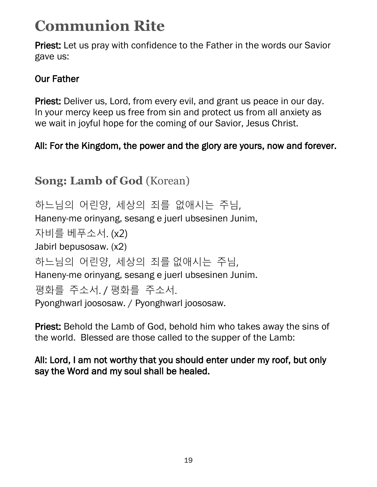# <span id="page-23-0"></span>**Communion Rite**

Priest: Let us pray with confidence to the Father in the words our Savior gave us:

### Our Father

Priest: Deliver us, Lord, from every evil, and grant us peace in our day. In your mercy keep us free from sin and protect us from all anxiety as we wait in joyful hope for the coming of our Savior, Jesus Christ.

## All: For the Kingdom, the power and the glory are yours, now and forever.

# **Song: Lamb of God** (Korean)

하느님의 어린양, 세상의 죄를 없애시는 주님, Haneny-me orinyang, sesang e juerl ubsesinen Junim, 자비를 베푸소서. (x2) Jabirl bepusosaw. (x2) 하느님의 어린양, 세상의 죄를 없애시는 주님, Haneny-me orinyang, sesang e juerl ubsesinen Junim. 평화를 주소서. / 평화를 주소서. Pyonghwarl joososaw. / Pyonghwarl joososaw.

Priest: Behold the Lamb of God, behold him who takes away the sins of the world. Blessed are those called to the supper of the Lamb:

All: Lord, I am not worthy that you should enter under my roof, but only say the Word and my soul shall be healed.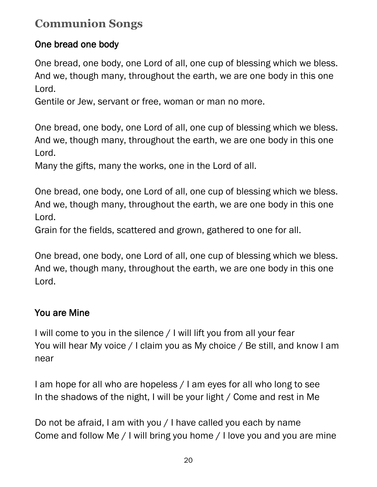# **Communion Songs**

### One bread one body

One bread, one body, one Lord of all, one cup of blessing which we bless. And we, though many, throughout the earth, we are one body in this one Lord.

Gentile or Jew, servant or free, woman or man no more.

One bread, one body, one Lord of all, one cup of blessing which we bless. And we, though many, throughout the earth, we are one body in this one Lord.

Many the gifts, many the works, one in the Lord of all.

One bread, one body, one Lord of all, one cup of blessing which we bless. And we, though many, throughout the earth, we are one body in this one Lord.

Grain for the fields, scattered and grown, gathered to one for all.

One bread, one body, one Lord of all, one cup of blessing which we bless. And we, though many, throughout the earth, we are one body in this one Lord.

### You are Mine

I will come to you in the silence / I will lift you from all your fear You will hear My voice / I claim you as My choice / Be still, and know I am near

I am hope for all who are hopeless / I am eyes for all who long to see In the shadows of the night, I will be your light / Come and rest in Me

Do not be afraid, I am with you / I have called you each by name Come and follow Me / I will bring you home / I love you and you are mine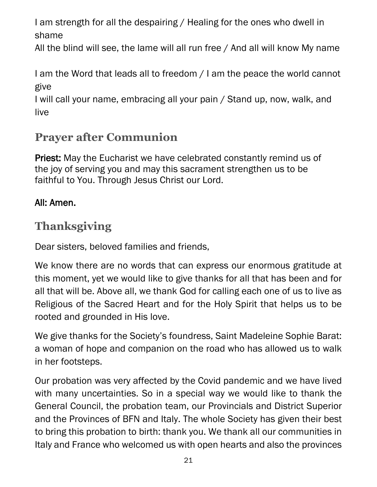I am strength for all the despairing / Healing for the ones who dwell in shame

All the blind will see, the lame will all run free / And all will know My name

I am the Word that leads all to freedom / I am the peace the world cannot give

I will call your name, embracing all your pain / Stand up, now, walk, and live

# **Prayer after Communion**

Priest: May the Eucharist we have celebrated constantly remind us of the joy of serving you and may this sacrament strengthen us to be faithful to You. Through Jesus Christ our Lord.

### All: Amen.

# **Thanksgiving**

Dear sisters, beloved families and friends,

We know there are no words that can express our enormous gratitude at this moment, yet we would like to give thanks for all that has been and for all that will be. Above all, we thank God for calling each one of us to live as Religious of the Sacred Heart and for the Holy Spirit that helps us to be rooted and grounded in His love.

We give thanks for the Society's foundress, Saint Madeleine Sophie Barat: a woman of hope and companion on the road who has allowed us to walk in her footsteps.

Our probation was very affected by the Covid pandemic and we have lived with many uncertainties. So in a special way we would like to thank the General Council, the probation team, our Provincials and District Superior and the Provinces of BFN and Italy. The whole Society has given their best to bring this probation to birth: thank you. We thank all our communities in Italy and France who welcomed us with open hearts and also the provinces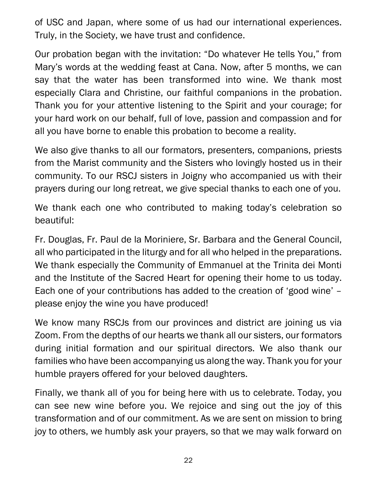of USC and Japan, where some of us had our international experiences. Truly, in the Society, we have trust and confidence.

Our probation began with the invitation: "Do whatever He tells You," from Mary's words at the wedding feast at Cana. Now, after 5 months, we can say that the water has been transformed into wine. We thank most especially Clara and Christine, our faithful companions in the probation. Thank you for your attentive listening to the Spirit and your courage; for your hard work on our behalf, full of love, passion and compassion and for all you have borne to enable this probation to become a reality.

We also give thanks to all our formators, presenters, companions, priests from the Marist community and the Sisters who lovingly hosted us in their community. To our RSCJ sisters in Joigny who accompanied us with their prayers during our long retreat, we give special thanks to each one of you.

We thank each one who contributed to making today's celebration so beautiful:

Fr. Douglas, Fr. Paul de la Moriniere, Sr. Barbara and the General Council, all who participated in the liturgy and for all who helped in the preparations. We thank especially the Community of Emmanuel at the Trinita dei Monti and the Institute of the Sacred Heart for opening their home to us today. Each one of your contributions has added to the creation of 'good wine' – please enjoy the wine you have produced!

We know many RSCJs from our provinces and district are joining us via Zoom. From the depths of our hearts we thank all our sisters, our formators during initial formation and our spiritual directors. We also thank our families who have been accompanying us along the way. Thank you for your humble prayers offered for your beloved daughters.

Finally, we thank all of you for being here with us to celebrate. Today, you can see new wine before you. We rejoice and sing out the joy of this transformation and of our commitment. As we are sent on mission to bring joy to others, we humbly ask your prayers, so that we may walk forward on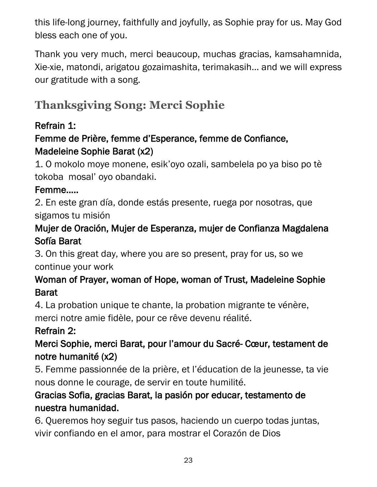this life-long journey, faithfully and joyfully, as Sophie pray for us. May God bless each one of you.

Thank you very much, merci beaucoup, muchas gracias, kamsahamnida, Xie-xie, matondi, arigatou gozaimashita, terimakasih… and we will express our gratitude with a song.

# **Thanksgiving Song: Merci Sophie**

### Refrain 1:

### Femme de Prière, femme d'Esperance, femme de Confiance, Madeleine Sophie Barat (x2)

1. O mokolo moye monene, esik'oyo ozali, sambelela po ya biso po tè tokoba mosal' oyo obandaki.

#### Femme…..

2. En este gran día, donde estás presente, ruega por nosotras, que sigamos tu misión

### Mujer de Oración, Mujer de Esperanza, mujer de Confianza Magdalena Sofía Barat

3. On this great day, where you are so present, pray for us, so we continue your work

### Woman of Prayer, woman of Hope, woman of Trust, Madeleine Sophie Barat

4. La probation unique te chante, la probation migrante te vénère,

merci notre amie fidèle, pour ce rêve devenu réalité.

### Refrain 2:

### Merci Sophie, merci Barat, pour l'amour du Sacré- Cœur, testament de notre humanité (x2)

5. Femme passionnée de la prière, et l'éducation de la jeunesse, ta vie nous donne le courage, de servir en toute humilité.

### Gracias Sofia, gracias Barat, la pasión por educar, testamento de nuestra humanidad.

6. Queremos hoy seguir tus pasos, haciendo un cuerpo todas juntas, vivir confiando en el amor, para mostrar el Corazón de Dios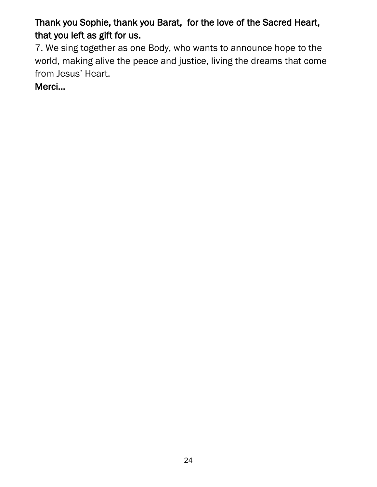Thank you Sophie, thank you Barat, for the love of the Sacred Heart, that you left as gift for us.

7. We sing together as one Body, who wants to announce hope to the world, making alive the peace and justice, living the dreams that come from Jesus' Heart.

Merci…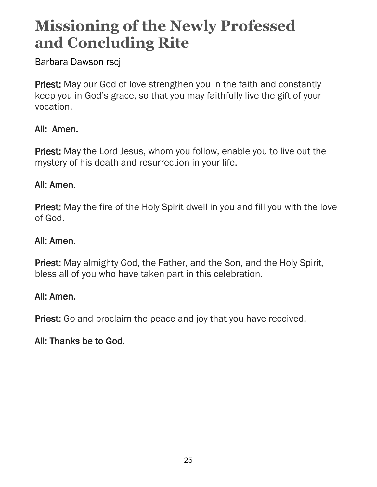# <span id="page-29-0"></span>**Missioning of the Newly Professed and Concluding Rite**

Barbara Dawson rscj

Priest: May our God of love strengthen you in the faith and constantly keep you in God's grace, so that you may faithfully live the gift of your vocation.

#### All: Amen.

Priest: May the Lord Jesus, whom you follow, enable you to live out the mystery of his death and resurrection in your life.

#### All: Amen.

Priest: May the fire of the Holy Spirit dwell in you and fill you with the love of God.

#### All: Amen.

Priest: May almighty God, the Father, and the Son, and the Holy Spirit, bless all of you who have taken part in this celebration.

#### All: Amen.

Priest: Go and proclaim the peace and joy that you have received.

#### All: Thanks be to God.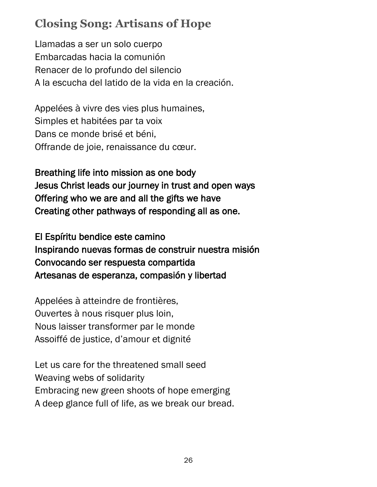# **Closing Song: Artisans of Hope**

Llamadas a ser un solo cuerpo Embarcadas hacia la comunión Renacer de lo profundo del silencio A la escucha del latido de la vida en la creación.

Appelées à vivre des vies plus humaines, Simples et habitées par ta voix Dans ce monde brisé et béni, Offrande de joie, renaissance du cœur.

Breathing life into mission as one body Jesus Christ leads our journey in trust and open ways Offering who we are and all the gifts we have Creating other pathways of responding all as one.

El Espíritu bendice este camino Inspirando nuevas formas de construir nuestra misión Convocando ser respuesta compartida Artesanas de esperanza, compasión y libertad

Appelées à atteindre de frontières, Ouvertes à nous risquer plus loin, Nous laisser transformer par le monde Assoiffé de justice, d'amour et dignité

Let us care for the threatened small seed Weaving webs of solidarity Embracing new green shoots of hope emerging A deep glance full of life, as we break our bread.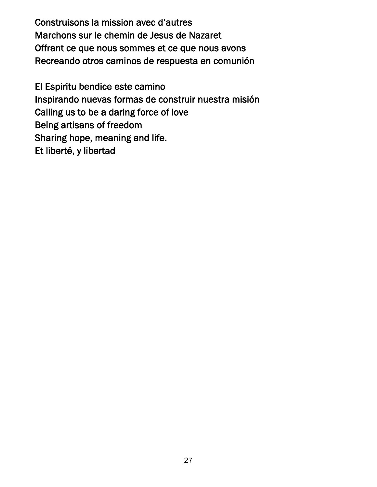Construisons la mission avec d'autres Marchons sur le chemin de Jesus de Nazaret Offrant ce que nous sommes et ce que nous avons Recreando otros caminos de respuesta en comunión

El Espiritu bendice este camino Inspirando nuevas formas de construir nuestra misión Calling us to be a daring force of love Being artisans of freedom Sharing hope, meaning and life. Et liberté, y libertad